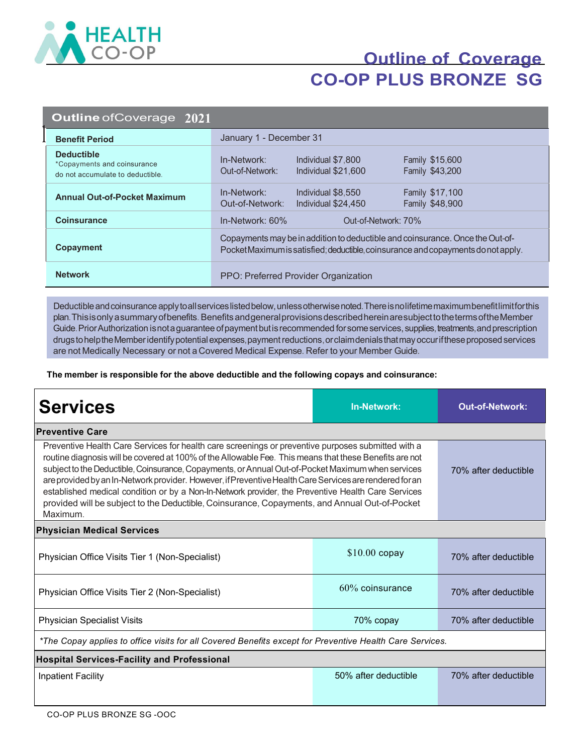

# **Outline of Coverage CO-OP PLUS BRONZE SG**

| <b>Outline of Coverage 2021</b>                                                      |                                                                                                                                                                    |  |  |
|--------------------------------------------------------------------------------------|--------------------------------------------------------------------------------------------------------------------------------------------------------------------|--|--|
| <b>Benefit Period</b>                                                                | January 1 - December 31                                                                                                                                            |  |  |
| <b>Deductible</b><br>*Copayments and coinsurance<br>do not accumulate to deductible. | In-Network:<br>Individual \$7,800<br><b>Family \$15,600</b><br>Family \$43,200<br>Out-of-Network:<br>Individual \$21,600                                           |  |  |
| <b>Annual Out-of-Pocket Maximum</b>                                                  | In-Network:<br>Individual \$8,550<br><b>Family \$17,100</b><br>Out-of-Network:<br>Individual \$24,450<br>Family \$48,900                                           |  |  |
| <b>Coinsurance</b>                                                                   | In-Network: 60%<br>Out-of-Network: 70%                                                                                                                             |  |  |
| Copayment                                                                            | Copayments may be in addition to deductible and coinsurance. Once the Out-of-<br>Pocket Maximum is satisfied; deductible, coinsurance and copayments do not apply. |  |  |
| <b>Network</b>                                                                       | PPO: Preferred Provider Organization                                                                                                                               |  |  |

Deductible and coinsurance apply to all services listed below, unless otherwise noted. There is no lifetime maximum benefit limit for this plan. This is only a summary of benefits. Benefits and general provisions described herein are subject to the terms of the Member Guide. Prior Authorization is not a guarantee of payment but is recommended for some services, supplies, treatments, and prescription drugs to help the Member identify potential expenses, payment reductions, or claim denials that may occurif these proposed services are not Medically Necessary or not a Covered Medical Expense. Refer to your Member Guide.

**The member is responsible for the above deductible and the following copays and coinsurance:**

| <b>Services</b>                                                                                                                                                                                                                                                                                                                                                                                                                                                                                                                                                                                                                                 | <b>In-Network:</b>   | <b>Out-of-Network:</b> |
|-------------------------------------------------------------------------------------------------------------------------------------------------------------------------------------------------------------------------------------------------------------------------------------------------------------------------------------------------------------------------------------------------------------------------------------------------------------------------------------------------------------------------------------------------------------------------------------------------------------------------------------------------|----------------------|------------------------|
| <b>Preventive Care</b>                                                                                                                                                                                                                                                                                                                                                                                                                                                                                                                                                                                                                          |                      |                        |
| Preventive Health Care Services for health care screenings or preventive purposes submitted with a<br>routine diagnosis will be covered at 100% of the Allowable Fee. This means that these Benefits are not<br>subject to the Deductible, Coinsurance, Copayments, or Annual Out-of-Pocket Maximum when services<br>are provided by an In-Network provider. However, if Preventive Health Care Services are rendered for an<br>established medical condition or by a Non-In-Network provider, the Preventive Health Care Services<br>provided will be subject to the Deductible, Coinsurance, Copayments, and Annual Out-of-Pocket<br>Maximum. |                      | 70% after deductible   |
| <b>Physician Medical Services</b>                                                                                                                                                                                                                                                                                                                                                                                                                                                                                                                                                                                                               |                      |                        |
| Physician Office Visits Tier 1 (Non-Specialist)                                                                                                                                                                                                                                                                                                                                                                                                                                                                                                                                                                                                 | $$10.00$ copay       | 70% after deductible   |
| Physician Office Visits Tier 2 (Non-Specialist)                                                                                                                                                                                                                                                                                                                                                                                                                                                                                                                                                                                                 | $60\%$ coinsurance   | 70% after deductible   |
| <b>Physician Specialist Visits</b>                                                                                                                                                                                                                                                                                                                                                                                                                                                                                                                                                                                                              | 70% copay            | 70% after deductible   |
| *The Copay applies to office visits for all Covered Benefits except for Preventive Health Care Services.                                                                                                                                                                                                                                                                                                                                                                                                                                                                                                                                        |                      |                        |
| <b>Hospital Services-Facility and Professional</b>                                                                                                                                                                                                                                                                                                                                                                                                                                                                                                                                                                                              |                      |                        |
| <b>Inpatient Facility</b>                                                                                                                                                                                                                                                                                                                                                                                                                                                                                                                                                                                                                       | 50% after deductible | 70% after deductible   |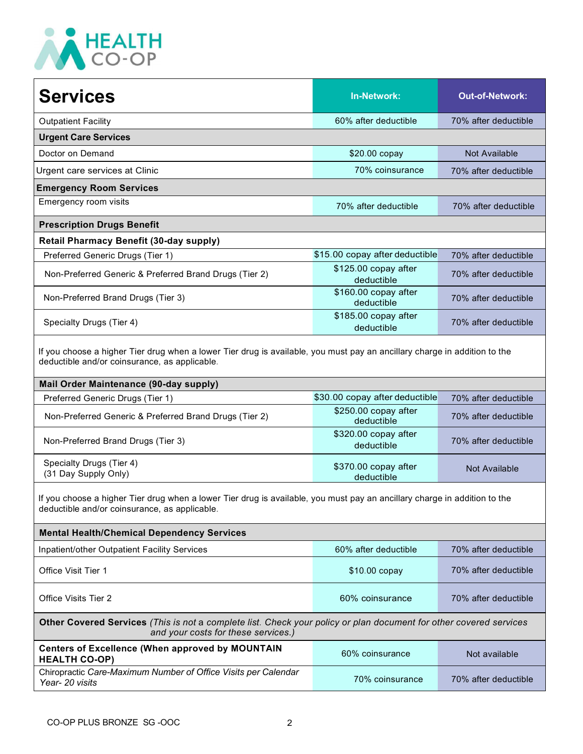

| <b>Outpatient Facility</b><br>60% after deductible<br><b>Urgent Care Services</b><br>Doctor on Demand<br>Not Available<br>\$20.00 copay<br>70% coinsurance<br>Urgent care services at Clinic<br><b>Emergency Room Services</b><br>Emergency room visits<br>70% after deductible<br><b>Prescription Drugs Benefit</b><br><b>Retail Pharmacy Benefit (30-day supply)</b><br>\$15.00 copay after deductible<br>Preferred Generic Drugs (Tier 1)<br>\$125.00 copay after<br>Non-Preferred Generic & Preferred Brand Drugs (Tier 2)<br>deductible<br>\$160.00 copay after<br>Non-Preferred Brand Drugs (Tier 3)<br>deductible<br>\$185.00 copay after<br>Specialty Drugs (Tier 4) | <b>Services</b> | <b>In-Network:</b> | <b>Out-of-Network:</b> |  |
|------------------------------------------------------------------------------------------------------------------------------------------------------------------------------------------------------------------------------------------------------------------------------------------------------------------------------------------------------------------------------------------------------------------------------------------------------------------------------------------------------------------------------------------------------------------------------------------------------------------------------------------------------------------------------|-----------------|--------------------|------------------------|--|
|                                                                                                                                                                                                                                                                                                                                                                                                                                                                                                                                                                                                                                                                              |                 |                    | 70% after deductible   |  |
|                                                                                                                                                                                                                                                                                                                                                                                                                                                                                                                                                                                                                                                                              |                 |                    |                        |  |
|                                                                                                                                                                                                                                                                                                                                                                                                                                                                                                                                                                                                                                                                              |                 |                    |                        |  |
|                                                                                                                                                                                                                                                                                                                                                                                                                                                                                                                                                                                                                                                                              |                 |                    | 70% after deductible   |  |
|                                                                                                                                                                                                                                                                                                                                                                                                                                                                                                                                                                                                                                                                              |                 |                    |                        |  |
|                                                                                                                                                                                                                                                                                                                                                                                                                                                                                                                                                                                                                                                                              |                 |                    | 70% after deductible   |  |
|                                                                                                                                                                                                                                                                                                                                                                                                                                                                                                                                                                                                                                                                              |                 |                    |                        |  |
|                                                                                                                                                                                                                                                                                                                                                                                                                                                                                                                                                                                                                                                                              |                 |                    |                        |  |
|                                                                                                                                                                                                                                                                                                                                                                                                                                                                                                                                                                                                                                                                              |                 |                    | 70% after deductible   |  |
|                                                                                                                                                                                                                                                                                                                                                                                                                                                                                                                                                                                                                                                                              |                 |                    | 70% after deductible   |  |
|                                                                                                                                                                                                                                                                                                                                                                                                                                                                                                                                                                                                                                                                              |                 |                    | 70% after deductible   |  |
|                                                                                                                                                                                                                                                                                                                                                                                                                                                                                                                                                                                                                                                                              |                 | deductible         | 70% after deductible   |  |
| If you choose a higher Tier drug when a lower Tier drug is available, you must pay an ancillary charge in addition to the<br>deductible and/or coinsurance, as applicable.                                                                                                                                                                                                                                                                                                                                                                                                                                                                                                   |                 |                    |                        |  |
| Mail Order Maintenance (90-day supply)                                                                                                                                                                                                                                                                                                                                                                                                                                                                                                                                                                                                                                       |                 |                    |                        |  |

| Preferred Generic Drugs (Tier 1)                       | \$30.00 copay after deductible     | 70% after deductible |
|--------------------------------------------------------|------------------------------------|----------------------|
| Non-Preferred Generic & Preferred Brand Drugs (Tier 2) | \$250.00 copay after<br>deductible | 70% after deductible |
| Non-Preferred Brand Drugs (Tier 3)                     | \$320.00 copay after<br>deductible | 70% after deductible |
| Specialty Drugs (Tier 4)<br>(31 Day Supply Only)       | \$370.00 copay after<br>deductible | Not Available        |

If you choose a higher Tier drug when a lower Tier drug is available, you must pay an ancillary charge in addition to the deductible and/or coinsurance, as applicable.

| <b>Mental Health/Chemical Dependency Services</b>                                                                                                                |                      |                      |
|------------------------------------------------------------------------------------------------------------------------------------------------------------------|----------------------|----------------------|
| Inpatient/other Outpatient Facility Services                                                                                                                     | 60% after deductible | 70% after deductible |
| Office Visit Tier 1                                                                                                                                              | $$10.00$ copay       | 70% after deductible |
| Office Visits Tier 2                                                                                                                                             | 60% coinsurance      | 70% after deductible |
| <b>Other Covered Services</b> (This is not a complete list. Check your policy or plan document for other covered services<br>and your costs for these services.) |                      |                      |
| Centers of Excellence (When approved by MOUNTAIN                                                                                                                 | 60% coinsurance      | Not available        |

**HEALTH CO-OP) CONSULTER CO-OP CONSULTER CO-OP Not available HEALTH CO-OP** Chiropractic *Care-Maximum Number of Office Visits per Calendar*  70% coinsurance 70% after deductible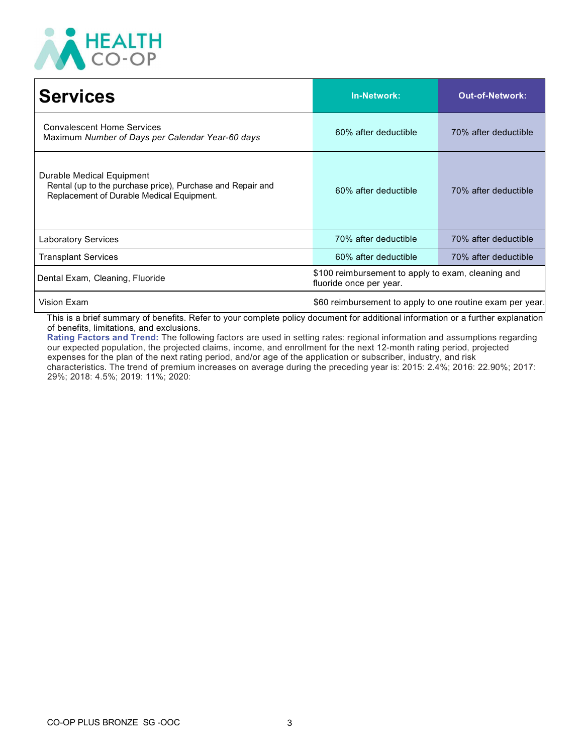

| <b>Services</b>                                                                                                                      | <b>In-Network:</b>                                                            | Out-of-Network:      |
|--------------------------------------------------------------------------------------------------------------------------------------|-------------------------------------------------------------------------------|----------------------|
| <b>Convalescent Home Services</b><br>Maximum Number of Days per Calendar Year-60 days                                                | 60% after deductible                                                          | 70% after deductible |
| Durable Medical Equipment<br>Rental (up to the purchase price), Purchase and Repair and<br>Replacement of Durable Medical Equipment. | 60% after deductible                                                          | 70% after deductible |
| <b>Laboratory Services</b>                                                                                                           | 70% after deductible                                                          | 70% after deductible |
| <b>Transplant Services</b>                                                                                                           | 60% after deductible                                                          | 70% after deductible |
| Dental Exam, Cleaning, Fluoride                                                                                                      | \$100 reimbursement to apply to exam, cleaning and<br>fluoride once per year. |                      |
| Vision Exam                                                                                                                          | \$60 reimbursement to apply to one routine exam per year.                     |                      |

This is a brief summary of benefits. Refer to your complete policy document for additional information or a further explanation of benefits, limitations, and exclusions.

**Rating Factors and Trend:** The following factors are used in setting rates: regional information and assumptions regarding our expected population, the projected claims, income, and enrollment for the next 12-month rating period, projected expenses for the plan of the next rating period, and/or age of the application or subscriber, industry, and risk characteristics. The trend of premium increases on average during the preceding year is: 2015: 2.4%; 2016: 22.90%; 2017: 29%; 2018: 4.5%; 2019: 11%; 2020: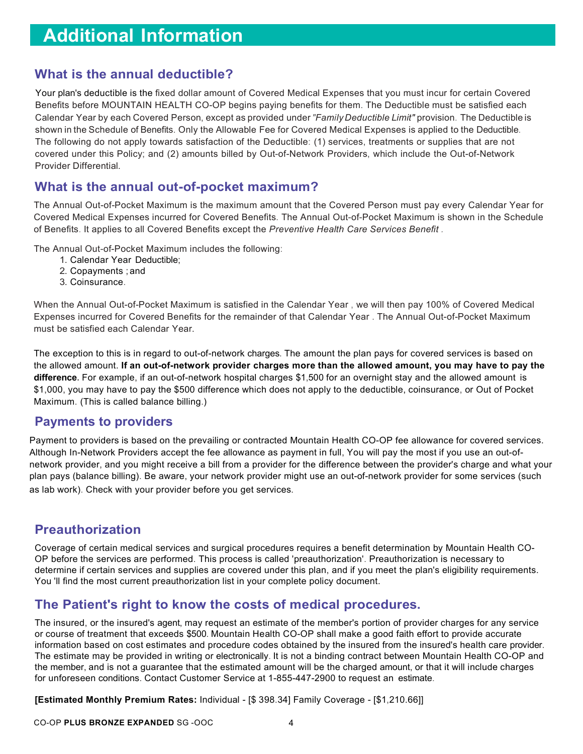#### **What is the annual deductible?**

Your plan's deductible is the fixed dollar amount of Covered Medical Expenses that you must incur for certain Covered Benefits before MOUNTAIN HEALTH CO-OP begins paying benefits for them. The Deductible must be satisfied each Calendar Year by each Covered Person, except as provided under*"Family Deductible Limit"* provision. The Deductible is shown in the Schedule of Benefits. Only the Allowable Fee for Covered Medical Expenses is applied to the Deductible. The following do not apply towards satisfaction of the Deductible: (1) services, treatments or supplies that are not covered under this Policy; and (2) amounts billed by Out-of-Network Providers, which include the Out-of-Network Provider Differential.

#### **What is the annual out-of-pocket maximum?**

The Annual Out-of-Pocket Maximum is the maximum amount that the Covered Person must pay every Calendar Year for Covered Medical Expenses incurred for Covered Benefits. The Annual Out-of-Pocket Maximum is shown in the Schedule of Benefits. It applies to all Covered Benefits except the *Preventive Health Care Services Benefit .*

The Annual Out-of-Pocket Maximum includes the following:

- 1. Calendar Year Deductible;
- 2. Copayments ; and
- 3. Coinsurance.

When the Annual Out-of-Pocket Maximum is satisfied in the Calendar Year , we will then pay 100% of Covered Medical Expenses incurred for Covered Benefits for the remainder of that Calendar Year . The Annual Out-of-Pocket Maximum must be satisfied each Calendar Year.

The exception to this is in regard to out-of-network charges. The amount the plan pays for covered services is based on the allowed amount. **If an out-of-network provider charges more than the allowed amount, you may have to pay the difference.** For example, if an out-of-network hospital charges \$1,500 for an overnight stay and the allowed amount is \$1,000, you may have to pay the \$500 difference which does not apply to the deductible, coinsurance, or Out of Pocket Maximum. (This is called balance billing.)

#### **Payments to providers**

Payment to providers is based on the prevailing or contracted Mountain Health CO-OP fee allowance for covered services. Although In-Network Providers accept the fee allowance as payment in full, You will pay the most if you use an out-ofnetwork provider, and you might receive a bill from a provider for the difference between the provider's charge and what your plan pays (balance billing). Be aware, your network provider might use an out-of-network provider for some services (such as lab work). Check with your provider before you get services.

### **Preauthorization**

Coverage of certain medical services and surgical procedures requires a benefit determination by Mountain Health CO-OP before the services are performed. This process is called 'preauthorization'. Preauthorization is necessary to determine if certain services and supplies are covered under this plan, and if you meet the plan's eligibility requirements. You 'll find the most current preauthorization list in your complete policy document.

#### **The Patient's right to know the costs of medical procedures.**

The insured, or the insured's agent, may request an estimate of the member's portion of provider charges for any service or course of treatment that exceeds \$500. Mountain Health CO-OP shall make a good faith effort to provide accurate information based on cost estimates and procedure codes obtained by the insured from the insured's health care provider. The estimate may be provided in writing or electronically. It is not a binding contract between Mountain Health CO-OP and the member, and is not a guarantee that the estimated amount will be the charged amount, or that it will include charges for unforeseen conditions. Contact Customer Service at 1-855-447-2900 to request an estimate.

**[Estimated Monthly Premium Rates:** Individual - [\$ 398.34] Family Coverage - [\$1,210.66]]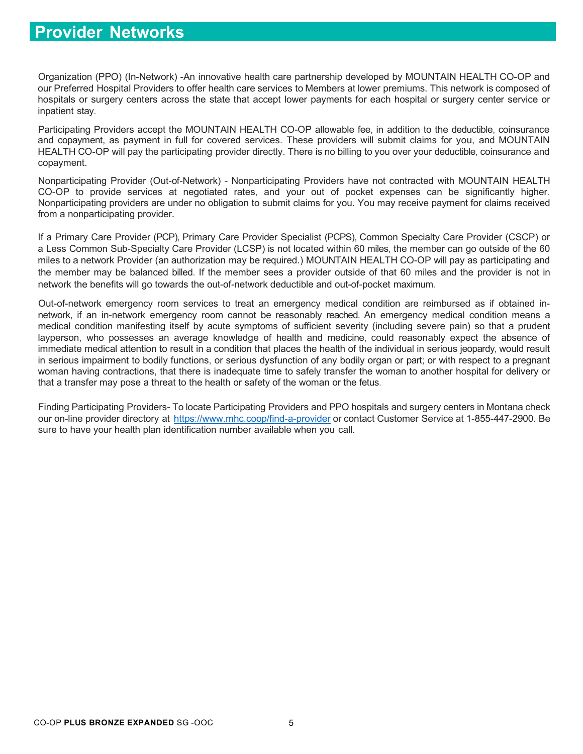## **Provider Networks**

Organization (PPO) (In-Network) -An innovative health care partnership developed by MOUNTAIN HEALTH CO-OP and our Preferred Hospital Providers to offer health care services to Members at lower premiums. This network is composed of hospitals or surgery centers across the state that accept lower payments for each hospital or surgery center service or inpatient stay.

Participating Providers accept the MOUNTAIN HEALTH CO-OP allowable fee, in addition to the deductible, coinsurance and copayment, as payment in full for covered services. These providers will submit claims for you, and MOUNTAIN HEALTH CO-OP will pay the participating provider directly. There is no billing to you over your deductible, coinsurance and copayment.

Nonparticipating Provider (Out-of-Network) - Nonparticipating Providers have not contracted with MOUNTAIN HEALTH CO-OP to provide services at negotiated rates, and your out of pocket expenses can be significantly higher. Nonparticipating providers are under no obligation to submit claims for you. You may receive payment for claims received from a nonparticipating provider.

If a Primary Care Provider (PCP), Primary Care Provider Specialist (PCPS), Common Specialty Care Provider (CSCP) or a Less Common Sub-Specialty Care Provider (LCSP) is not located within 60 miles, the member can go outside of the 60 miles to a network Provider (an authorization may be required.) MOUNTAIN HEALTH CO-OP will pay as participating and the member may be balanced billed. If the member sees a provider outside of that 60 miles and the provider is not in network the benefits will go towards the out-of-network deductible and out-of-pocket maximum.

Out-of-network emergency room services to treat an emergency medical condition are reimbursed as if obtained innetwork, if an in-network emergency room cannot be reasonably reached. An emergency medical condition means a medical condition manifesting itself by acute symptoms of sufficient severity (including severe pain) so that a prudent layperson, who possesses an average knowledge of health and medicine, could reasonably expect the absence of immediate medical attention to result in a condition that places the health of the individual in serious jeopardy, would result in serious impairment to bodily functions, or serious dysfunction of any bodily organ or part; or with respect to a pregnant woman having contractions, that there is inadequate time to safely transfer the woman to another hospital for delivery or that a transfer may pose a threat to the health or safety of the woman or the fetus.

Finding Participating Providers- To locate Participating Providers and PPO hospitals and surgery centers in Montana check our on-line provider directory at https:/[/www.mhc.coop/find-a-provider](http://www.mhc.coop/find-a-provider) or contact Customer Service at 1-855-447-2900. Be sure to have your health plan identification number available when you call.